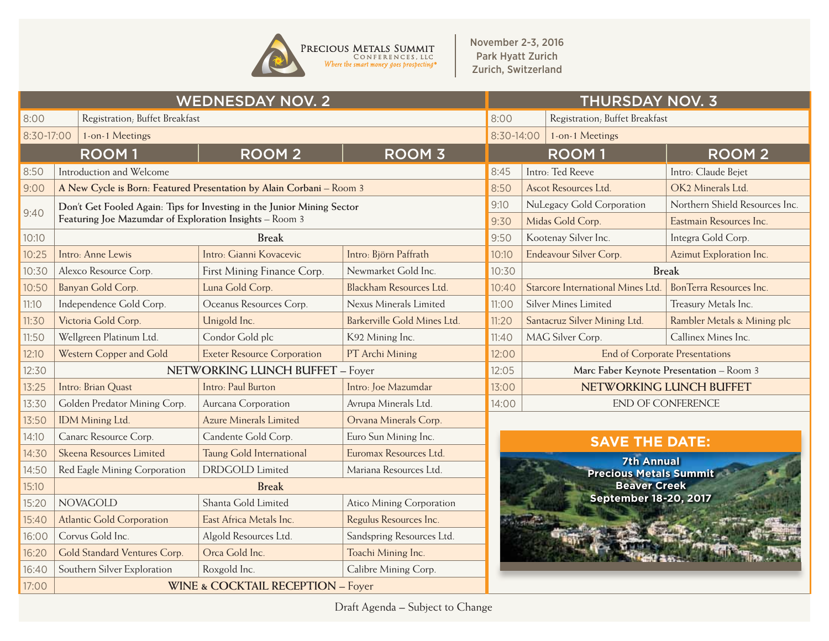

November 2-3, 2016 Park Hyatt Zurich Zurich, Switzerland

|            |                                                         | <b>WEDNESDAY NOV. 2</b>                                                | <b>THURSDAY NOV. 3</b>          |                                               |                                                           |                             |  |  |  |  |
|------------|---------------------------------------------------------|------------------------------------------------------------------------|---------------------------------|-----------------------------------------------|-----------------------------------------------------------|-----------------------------|--|--|--|--|
| 8:00       | Registration; Buffet Breakfast                          |                                                                        | 8:00                            | Registration; Buffet Breakfast                |                                                           |                             |  |  |  |  |
| 8:30-17:00 | 1-on-1 Meetings                                         |                                                                        |                                 | 8:30-14:00                                    | 1-on-1 Meetings                                           |                             |  |  |  |  |
|            | <b>ROOM1</b>                                            | <b>ROOM 2</b>                                                          | <b>ROOM 3</b>                   |                                               | <b>ROOM1</b>                                              | <b>ROOM2</b>                |  |  |  |  |
| 8:50       | Introduction and Welcome                                |                                                                        |                                 | 8:45                                          | Intro: Ted Reeve                                          | Intro: Claude Bejet         |  |  |  |  |
| 9:00       |                                                         | A New Cycle is Born: Featured Presentation by Alain Corbani - Room 3   | 8:50                            | Ascot Resources Ltd.<br>OK2 Minerals Ltd      |                                                           |                             |  |  |  |  |
| 9:40       | Featuring Joe Mazumdar of Exploration Insights - Room 3 | Don't Get Fooled Again: Tips for Investing in the Junior Mining Sector | 9:10<br>9:30                    | NuLegacy Gold Corporation<br>Midas Gold Corp. | Northern Shield Resources Inc.<br>Eastmain Resources Inc. |                             |  |  |  |  |
| 10:10      |                                                         | <b>Break</b>                                                           |                                 | 9:50                                          | Kootenay Silver Inc.                                      | Integra Gold Corp.          |  |  |  |  |
| 10:25      | Intro: Anne Lewis                                       | Intro: Gianni Kovacevic                                                | Intro: Björn Paffrath           | 10:10                                         | Endeavour Silver Corp.                                    | Azimut Exploration Inc.     |  |  |  |  |
| 10:30      | Alexco Resource Corp.                                   | First Mining Finance Corp.                                             | Newmarket Gold Inc.             | 10:30                                         | <b>Break</b>                                              |                             |  |  |  |  |
| 10:50      | Banyan Gold Corp.                                       | Luna Gold Corp.                                                        | Blackham Resources Ltd.         | 10:40                                         | Starcore International Mines Ltd.                         | BonTerra Resources Inc.     |  |  |  |  |
| 11:10      | Independence Gold Corp.                                 | Oceanus Resources Corp.                                                | Nexus Minerals Limited          | 11:00                                         | <b>Silver Mines Limited</b>                               | Treasury Metals Inc.        |  |  |  |  |
| 11:30      | Victoria Gold Corp.                                     | Unigold Inc.                                                           | Barkerville Gold Mines Ltd.     | 11:20                                         | Santacruz Silver Mining Ltd.                              | Rambler Metals & Mining plc |  |  |  |  |
| 11:50      | Wellgreen Platinum Ltd.                                 | Condor Gold plc                                                        | K92 Mining Inc.                 | 11:40                                         | MAG Silver Corp.                                          | Callinex Mines Inc.         |  |  |  |  |
| 12:10      | Western Copper and Gold                                 | <b>Exeter Resource Corporation</b>                                     | PT Archi Mining                 | 12:00                                         | <b>End of Corporate Presentations</b>                     |                             |  |  |  |  |
| 12:30      |                                                         | NETWORKING LUNCH BUFFET - Foyer                                        | 12:05                           | Marc Faber Keynote Presentation - Room 3      |                                                           |                             |  |  |  |  |
| 13:25      | Intro: Brian Quast                                      | Intro: Paul Burton                                                     | Intro: Joe Mazumdar             | 13:00                                         |                                                           | NETWORKING LUNCH BUFFET     |  |  |  |  |
| 13:30      | Golden Predator Mining Corp.                            | Aurcana Corporation                                                    | Avrupa Minerals Ltd.            | 14:00                                         | <b>END OF CONFERENCE</b>                                  |                             |  |  |  |  |
| 13:50      | IDM Mining Ltd.                                         | <b>Azure Minerals Limited</b>                                          | Orvana Minerals Corp.           |                                               |                                                           |                             |  |  |  |  |
| 14:10      | Canarc Resource Corp.                                   | Candente Gold Corp.                                                    | Euro Sun Mining Inc.            |                                               | <b>SAVE THE DATE:</b>                                     |                             |  |  |  |  |
| 14:30      | Skeena Resources Limited                                | Taung Gold International                                               | Euromax Resources Ltd.          |                                               | <b>7th Annual</b>                                         |                             |  |  |  |  |
| 14:50      | Red Eagle Mining Corporation                            | <b>DRDGOLD</b> Limited                                                 | Mariana Resources Ltd.          |                                               | <b>Precious Metals Summit</b>                             |                             |  |  |  |  |
| 15:10      |                                                         | <b>Break</b>                                                           |                                 | <b>Beaver Creek</b>                           |                                                           |                             |  |  |  |  |
| 15:20      | <b>NOVAGOLD</b>                                         | Shanta Gold Limited                                                    | <b>Atico Mining Corporation</b> |                                               | <b>September 18-20, 2017</b>                              |                             |  |  |  |  |
| 15:40      | <b>Atlantic Gold Corporation</b>                        | East Africa Metals Inc.                                                | Regulus Resources Inc.          |                                               |                                                           |                             |  |  |  |  |
| 16:00      | Corvus Gold Inc.                                        | Algold Resources Ltd.                                                  | Sandspring Resources Ltd.       |                                               |                                                           |                             |  |  |  |  |
| 16:20      | Gold Standard Ventures Corp.                            | Orca Gold Inc.                                                         | Toachi Mining Inc.              |                                               |                                                           |                             |  |  |  |  |
| 16:40      | Southern Silver Exploration                             | Roxgold Inc.                                                           | Calibre Mining Corp.            |                                               |                                                           |                             |  |  |  |  |
| 17:00      |                                                         | <b>WINE &amp; COCKTAIL RECEPTION - Foyer</b>                           |                                 |                                               |                                                           |                             |  |  |  |  |